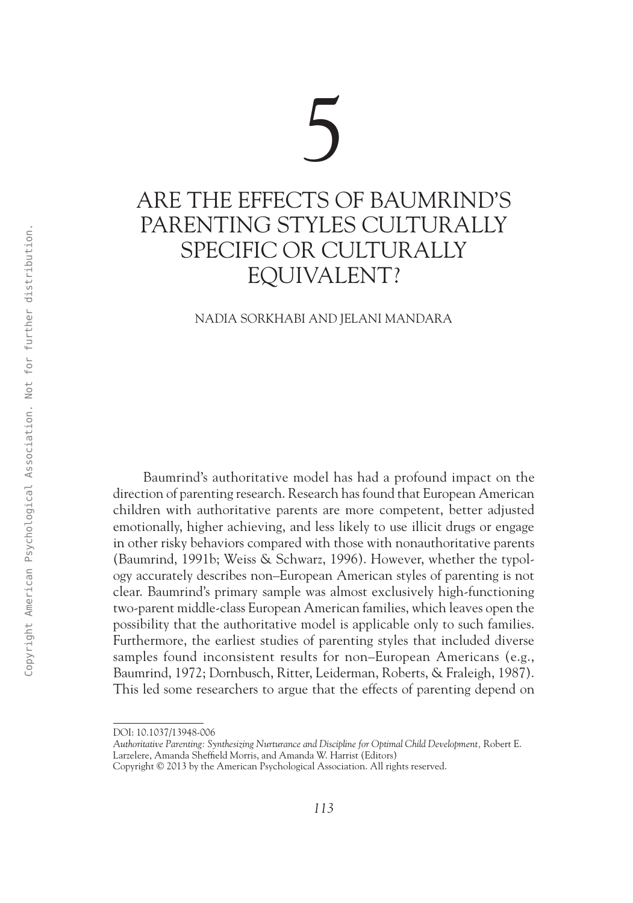# 5 Are the Effects of Baumrind's Parenting Styles Culturally Specific or Culturally Equivalent?

Nadia Sorkhabi and Jelani Mandara

Baumrind's authoritative model has had a profound impact on the direction of parenting research. Research has found that European American children with authoritative parents are more competent, better adjusted emotionally, higher achieving, and less likely to use illicit drugs or engage in other risky behaviors compared with those with nonauthoritative parents (Baumrind, 1991b; Weiss & Schwarz, 1996). However, whether the typology accurately describes non–European American styles of parenting is not clear. Baumrind's primary sample was almost exclusively high-functioning two-parent middle-class European American families, which leaves open the possibility that the authoritative model is applicable only to such families. Furthermore, the earliest studies of parenting styles that included diverse samples found inconsistent results for non–European Americans (e.g., Baumrind, 1972; Dornbusch, Ritter, Leiderman, Roberts, & Fraleigh, 1987). This led some researchers to argue that the effects of parenting depend on 13032-1322-27 SADUAT CHOT COR CULTURALLY<br>
SPECIFIC OR CULTURALLY<br>
EQUIVALENT?<br>
EXADUATION AMERICAN MANDARA<br>
2.5 AM CONSIDER AMERICAN MANDARA<br>
2.5 AM COPY AMERICAN PSYCHOLOGICAL AMERICAN AMERICAN AMERICAN AMERICAN AMERICAN

DOI: 10.1037/13948-006

*Authoritative Parenting: Synthesizing Nurturance and Discipline for Optimal Child Development,* Robert E. Larzelere, Amanda Sheffield Morris, and Amanda W. Harrist (Editors)

Copyright © 2013 by the American Psychological Association. All rights reserved.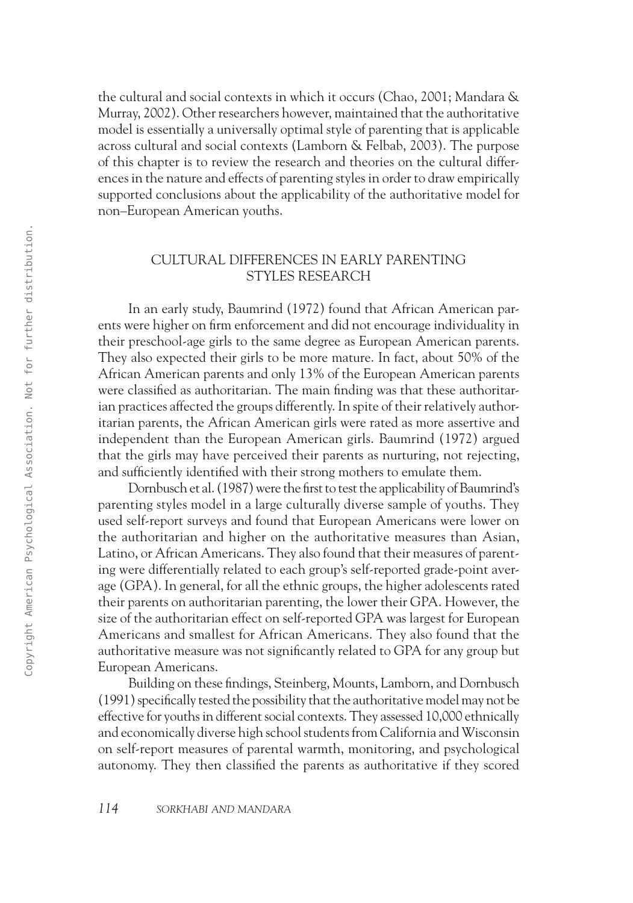the cultural and social contexts in which it occurs (Chao, 2001; Mandara & Murray, 2002). Other researchers however, maintained that the authoritative model is essentially a universally optimal style of parenting that is applicable across cultural and social contexts (Lamborn & Felbab, 2003). The purpose of this chapter is to review the research and theories on the cultural differences in the nature and effects of parenting styles in order to draw empirically supported conclusions about the applicability of the authoritative model for non–European American youths.

# Cultural Differences in Early Parenting Styles Research

In an early study, Baumrind (1972) found that African American parents were higher on firm enforcement and did not encourage individuality in their preschool-age girls to the same degree as European American parents. They also expected their girls to be more mature. In fact, about 50% of the African American parents and only 13% of the European American parents were classified as authoritarian. The main finding was that these authoritarian practices affected the groups differently. In spite of their relatively authoritarian parents, the African American girls were rated as more assertive and independent than the European American girls. Baumrind (1972) argued that the girls may have perceived their parents as nurturing, not rejecting, and sufficiently identified with their strong mothers to emulate them.

Dornbusch et al. (1987) were the first to test the applicability of Baumrind's parenting styles model in a large culturally diverse sample of youths. They used self-report surveys and found that European Americans were lower on the authoritarian and higher on the authoritative measures than Asian, Latino, or African Americans. They also found that their measures of parenting were differentially related to each group's self-reported grade-point average (GPA). In general, for all the ethnic groups, the higher adolescents rated their parents on authoritarian parenting, the lower their GPA. However, the size of the authoritarian effect on self-reported GPA was largest for European Americans and smallest for African Americans. They also found that the authoritative measure was not significantly related to GPA for any group but European Americans. 2012 - ULTURAL DIFFERENCES IN EARLY PARENTING<br>
10 an early study Bounting (1972) from that African American part<br>
2013 - an early study Bounting (1972) from that African American part<br>
2013 - The production particle ameri

Building on these findings, Steinberg, Mounts, Lamborn, and Dornbusch (1991) specifically tested the possibility that the authoritative model may not be effective for youths in different social contexts. They assessed 10,000 ethnically and economically diverse high school students from California and Wisconsin on self-report measures of parental warmth, monitoring, and psychological autonomy. They then classified the parents as authoritative if they scored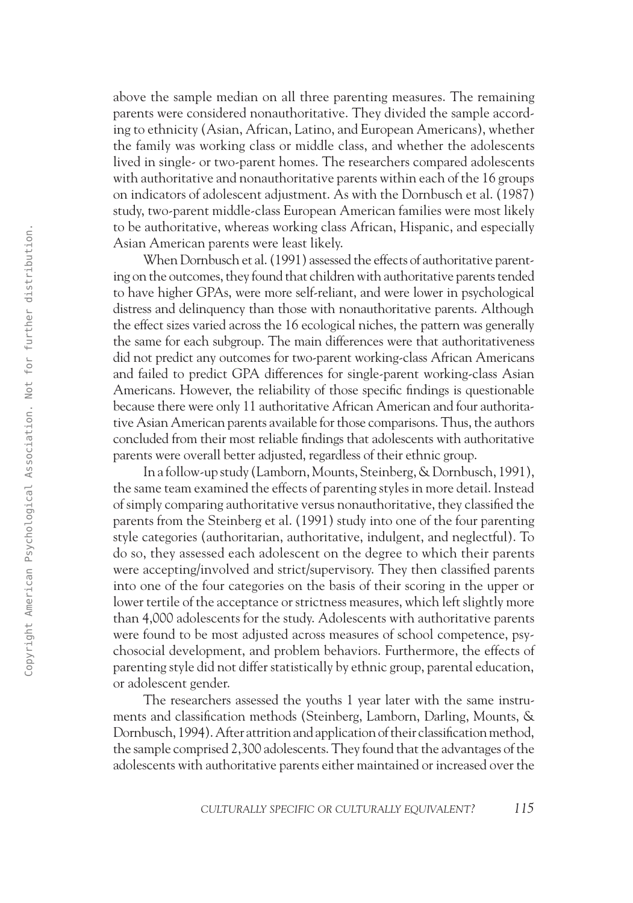above the sample median on all three parenting measures. The remaining parents were considered nonauthoritative. They divided the sample according to ethnicity (Asian, African, Latino, and European Americans), whether the family was working class or middle class, and whether the adolescents lived in single- or two-parent homes. The researchers compared adolescents with authoritative and nonauthoritative parents within each of the 16 groups on indicators of adolescent adjustment. As with the Dornbusch et al. (1987) study, two-parent middle-class European American families were most likely to be authoritative, whereas working class African, Hispanic, and especially Asian American parents were least likely.

When Dornbusch et al. (1991) assessed the effects of authoritative parenting on the outcomes, they found that children with authoritative parents tended to have higher GPAs, were more self-reliant, and were lower in psychological distress and delinquency than those with nonauthoritative parents. Although the effect sizes varied across the 16 ecological niches, the pattern was generally the same for each subgroup. The main differences were that authoritativeness did not predict any outcomes for two-parent working-class African Americans and failed to predict GPA differences for single-parent working-class Asian Americans. However, the reliability of those specific findings is questionable because there were only 11 authoritative African American and four authoritative Asian American parents available for those comparisons. Thus, the authors concluded from their most reliable findings that adolescents with authoritative parents were overall better adjusted, regardless of their ethnic group.

In a follow-up study (Lamborn, Mounts, Steinberg, & Dornbusch, 1991), the same team examined the effects of parenting styles in more detail. Instead of simply comparing authoritative versus nonauthoritative, they classified the parents from the Steinberg et al. (1991) study into one of the four parenting style categories (authoritarian, authoritative, indulgent, and neglectful). To do so, they assessed each adolescent on the degree to which their parents were accepting/involved and strict/supervisory. They then classified parents into one of the four categories on the basis of their scoring in the upper or lower tertile of the acceptance or strictness measures, which left slightly more than 4,000 adolescents for the study. Adolescents with authoritative parents were found to be most adjusted across measures of school competence, psychosocial development, and problem behaviors. Furthermore, the effects of parenting style did not differ statistically by ethnic group, parental education, or adolescent gender. 26<br>
26 AM Controllerist (P89) assessed the effects of undiversite presence After Mean Demokratical (P89) assessed the effects of undiversite present ended<br>
26 AM Controllerist (P89) assessed to the controllerist american

The researchers assessed the youths 1 year later with the same instruments and classification methods (Steinberg, Lamborn, Darling, Mounts, & Dornbusch, 1994). After attrition and application of their classification method, the sample comprised 2,300 adolescents. They found that the advantages of the adolescents with authoritative parents either maintained or increased over the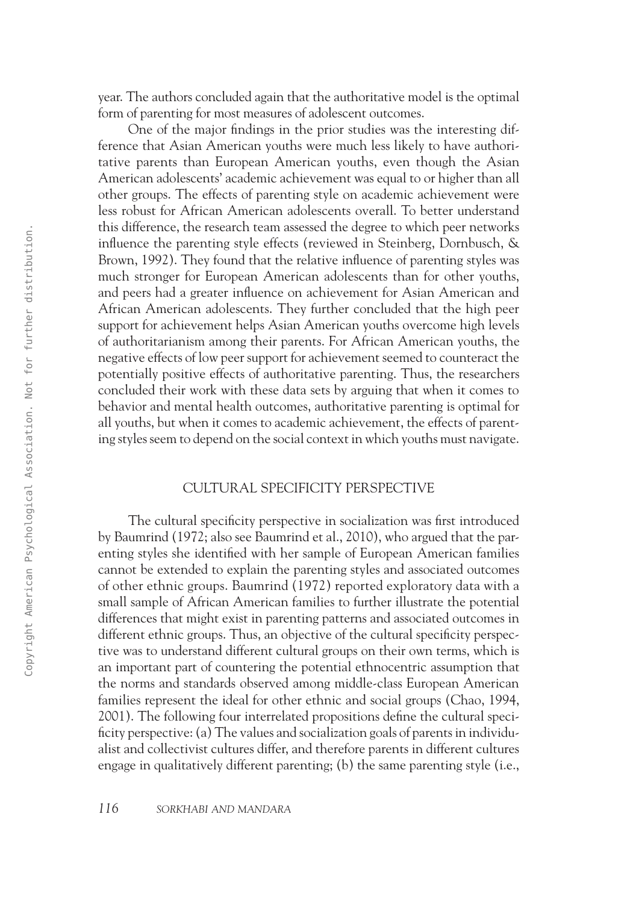year. The authors concluded again that the authoritative model is the optimal form of parenting for most measures of adolescent outcomes.

One of the major findings in the prior studies was the interesting difference that Asian American youths were much less likely to have authoritative parents than European American youths, even though the Asian American adolescents' academic achievement was equal to or higher than all other groups. The effects of parenting style on academic achievement were less robust for African American adolescents overall. To better understand this difference, the research team assessed the degree to which peer networks influence the parenting style effects (reviewed in Steinberg, Dornbusch, & Brown, 1992). They found that the relative influence of parenting styles was much stronger for European American adolescents than for other youths, and peers had a greater influence on achievement for Asian American and African American adolescents. They further concluded that the high peer support for achievement helps Asian American youths overcome high levels of authoritarianism among their parents. For African American youths, the negative effects of low peer support for achievement seemed to counteract the potentially positive effects of authoritative parenting. Thus, the researchers concluded their work with these data sets by arguing that when it comes to behavior and mental health outcomes, authoritative parenting is optimal for all youths, but when it comes to academic achievement, the effects of parenting styles seem to depend on the social context in which youths must navigate.

### Cultural Specificity Perspective

The cultural specificity perspective in socialization was first introduced by Baumrind (1972; also see Baumrind et al., 2010), who argued that the parenting styles she identified with her sample of European American families cannot be extended to explain the parenting styles and associated outcomes of other ethnic groups. Baumrind (1972) reported exploratory data with a small sample of African American families to further illustrate the potential differences that might exist in parenting patterns and associated outcomes in different ethnic groups. Thus, an objective of the cultural specificity perspective was to understand different cultural groups on their own terms, which is an important part of countering the potential ethnocentric assumption that the norms and standards observed among middle-class European American families represent the ideal for other ethnic and social groups (Chao, 1994, 2001). The following four interrelated propositions define the cultural specificity perspective: (a) The values and socialization goals of parents in individualist and collectivist cultures differ, and therefore parents in different cultures engage in qualitatively different parenting; (b) the same parenting style (i.e., 1303 control to the restricted to the transition and solid to the relative points of the state of the state of the state of the state of the state of the state of the state of the state of the state and American Psycholog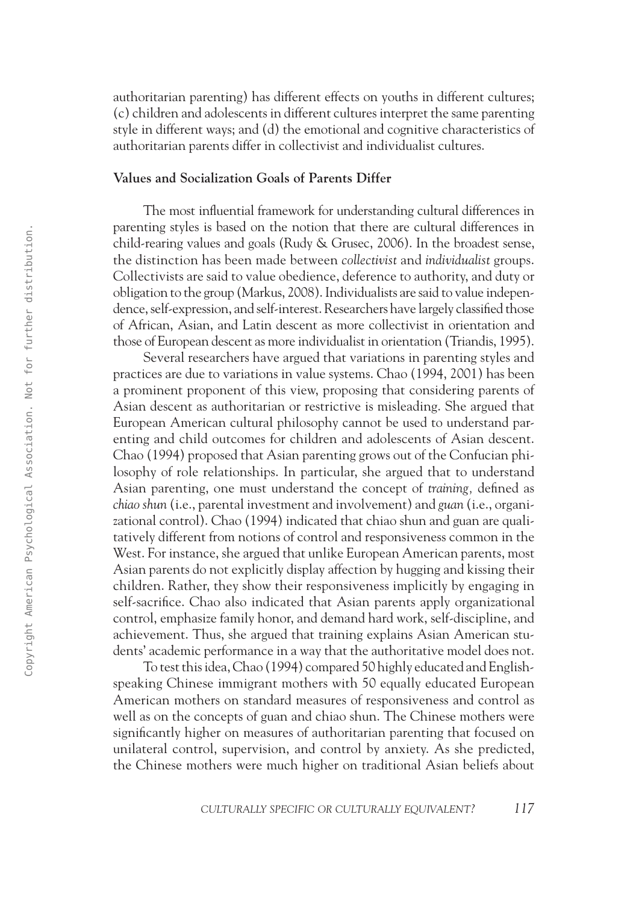authoritarian parenting) has different effects on youths in different cultures; (c) children and adolescents in different cultures interpret the same parenting style in different ways; and (d) the emotional and cognitive characteristics of authoritarian parents differ in collectivist and individualist cultures.

#### **Values and Socialization Goals of Parents Differ**

The most influential framework for understanding cultural differences in parenting styles is based on the notion that there are cultural differences in child-rearing values and goals (Rudy & Grusec, 2006). In the broadest sense, the distinction has been made between *collectivist* and *individualist* groups. Collectivists are said to value obedience, deference to authority, and duty or obligation to the group (Markus, 2008). Individualists are said to value independence, self-expression, and self-interest. Researchers have largely classified those of African, Asian, and Latin descent as more collectivist in orientation and those of European descent as more individualist in orientation (Triandis, 1995).

Several researchers have argued that variations in parenting styles and practices are due to variations in value systems. Chao (1994, 2001) has been a prominent proponent of this view, proposing that considering parents of Asian descent as authoritarian or restrictive is misleading. She argued that European American cultural philosophy cannot be used to understand parenting and child outcomes for children and adolescents of Asian descent. Chao (1994) proposed that Asian parenting grows out of the Confucian philosophy of role relationships. In particular, she argued that to understand Asian parenting, one must understand the concept of *training,* defined as *chiao shun* (i.e., parental investment and involvement) and *guan* (i.e., organizational control). Chao (1994) indicated that chiao shun and guan are qualitatively different from notions of control and responsiveness common in the West. For instance, she argued that unlike European American parents, most Asian parents do not explicitly display affection by hugging and kissing their children. Rather, they show their responsiveness implicitly by engaging in self-sacrifice. Chao also indicated that Asian parents apply organizational control, emphasize family honor, and demand hard work, self-discipline, and achievement. Thus, she argued that training explains Asian American students' academic performance in a way that the authoritative model does not. 1303 control and the best maintent in the best main that the control and make between the distribution has been made between real-density and make the state of the state and make the state of the state of the state of th

To test this idea, Chao (1994) compared 50 highly educated and Englishspeaking Chinese immigrant mothers with 50 equally educated European American mothers on standard measures of responsiveness and control as well as on the concepts of guan and chiao shun. The Chinese mothers were significantly higher on measures of authoritarian parenting that focused on unilateral control, supervision, and control by anxiety. As she predicted, the Chinese mothers were much higher on traditional Asian beliefs about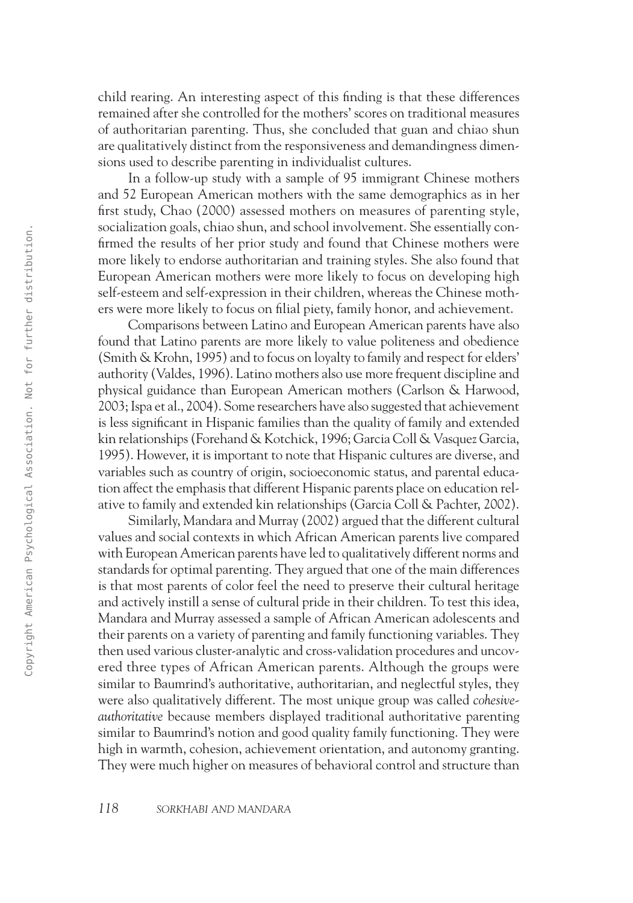child rearing. An interesting aspect of this finding is that these differences remained after she controlled for the mothers' scores on traditional measures of authoritarian parenting. Thus, she concluded that guan and chiao shun are qualitatively distinct from the responsiveness and demandingness dimensions used to describe parenting in individualist cultures.

In a follow-up study with a sample of 95 immigrant Chinese mothers and 52 European American mothers with the same demographics as in her first study, Chao (2000) assessed mothers on measures of parenting style, socialization goals, chiao shun, and school involvement. She essentially confirmed the results of her prior study and found that Chinese mothers were more likely to endorse authoritarian and training styles. She also found that European American mothers were more likely to focus on developing high self-esteem and self-expression in their children, whereas the Chinese mothers were more likely to focus on filial piety, family honor, and achievement.

Comparisons between Latino and European American parents have also found that Latino parents are more likely to value politeness and obedience (Smith & Krohn, 1995) and to focus on loyalty to family and respect for elders' authority (Valdes, 1996). Latino mothers also use more frequent discipline and physical guidance than European American mothers (Carlson & Harwood, 2003; Ispa et al., 2004). Some researchers have also suggested that achievement is less significant in Hispanic families than the quality of family and extended kin relationships (Forehand & Kotchick, 1996; Garcia Coll & Vasquez Garcia, 1995). However, it is important to note that Hispanic cultures are diverse, and variables such as country of origin, socioeconomic status, and parental education affect the emphasis that different Hispanic parents place on education relative to family and extended kin relationships (Garcia Coll & Pachter, 2002).

Similarly, Mandara and Murray (2002) argued that the different cultural values and social contexts in which African American parents live compared with European American parents have led to qualitatively different norms and standards for optimal parenting. They argued that one of the main differences is that most parents of color feel the need to preserve their cultural heritage and actively instill a sense of cultural pride in their children. To test this idea, Mandara and Murray assessed a sample of African American adolescents and their parents on a variety of parenting and family functioning variables. They then used various cluster-analytic and cross-validation procedures and uncovered three types of African American parents. Although the groups were similar to Baumrind's authoritative, authoritarian, and neglectful styles, they were also qualitatively different. The most unique group was called *cohesiveauthoritative* because members displayed traditional authoritative parenting similar to Baumrind's notion and good quality family functioning. They were high in warmth, cohesion, achievement orientation, and autonomy granting. They were much higher on measures of behavioral control and structure than Securities the method interest is the total interest in the sychological American Psychological American Psychological American Psychological Association and tensing paying high selection. Attached the response to the res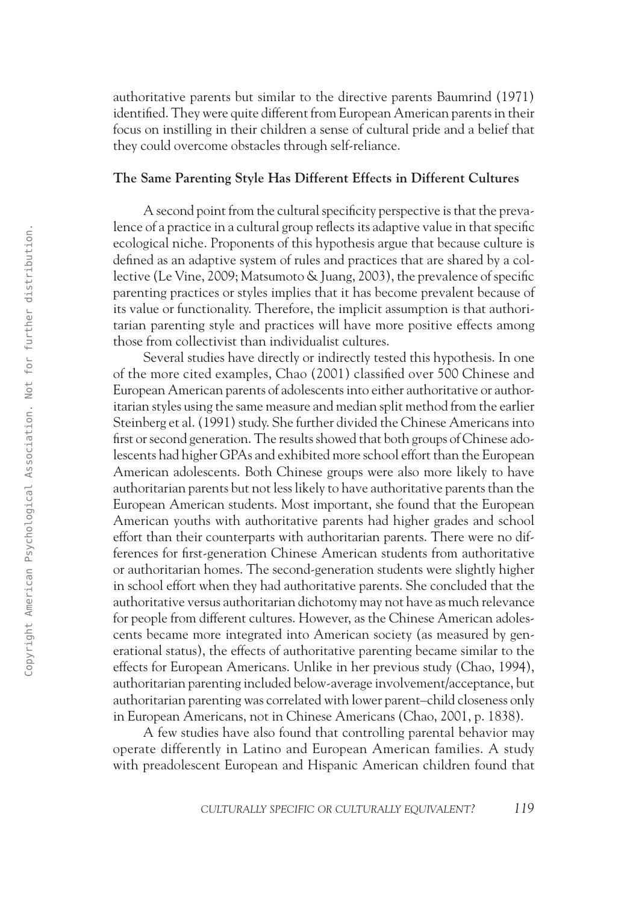authoritative parents but similar to the directive parents Baumrind (1971) identified. They were quite different from European American parents in their focus on instilling in their children a sense of cultural pride and a belief that they could overcome obstacles through self-reliance.

#### **The Same Parenting Style Has Different Effects in Different Cultures**

A second point from the cultural specificity perspective is that the prevalence of a practice in a cultural group reflects its adaptive value in that specific ecological niche. Proponents of this hypothesis argue that because culture is defined as an adaptive system of rules and practices that are shared by a collective (Le Vine, 2009; Matsumoto & Juang, 2003), the prevalence of specific parenting practices or styles implies that it has become prevalent because of its value or functionality. Therefore, the implicit assumption is that authoritarian parenting style and practices will have more positive effects among those from collectivist than individualist cultures.

Several studies have directly or indirectly tested this hypothesis. In one of the more cited examples, Chao (2001) classified over 500 Chinese and European American parents of adolescents into either authoritative or authoritarian styles using the same measure and median split method from the earlier Steinberg et al. (1991) study. She further divided the Chinese Americans into first or second generation. The results showed that both groups of Chinese adolescents had higher GPAs and exhibited more school effort than the European American adolescents. Both Chinese groups were also more likely to have authoritarian parents but not less likely to have authoritative parents than the European American students. Most important, she found that the European American youths with authoritative parents had higher grades and school effort than their counterparts with authoritarian parents. There were no differences for first-generation Chinese American students from authoritative or authoritarian homes. The second-generation students were slightly higher in school effort when they had authoritative parents. She concluded that the authoritative versus authoritarian dichotomy may not have as much relevance for people from different cultures. However, as the Chinese American adolescents became more integrated into American society (as measured by generational status), the effects of authoritative parenting became similar to the effects for European Americans. Unlike in her previous study (Chao, 1994), authoritarian parenting included below-average involvement/acceptance, but authoritarian parenting was correlated with lower parent–child closeness only in European Americans, not in Chinese Americans (Chao, 2001, p. 1838). 26<br>
26 coological rische. Fra to comunity about the two the same practices that are showed by a state of the same of the same of the same of the stresses of the same of the stresses of the same of the stresses of the same

A few studies have also found that controlling parental behavior may operate differently in Latino and European American families. A study with preadolescent European and Hispanic American children found that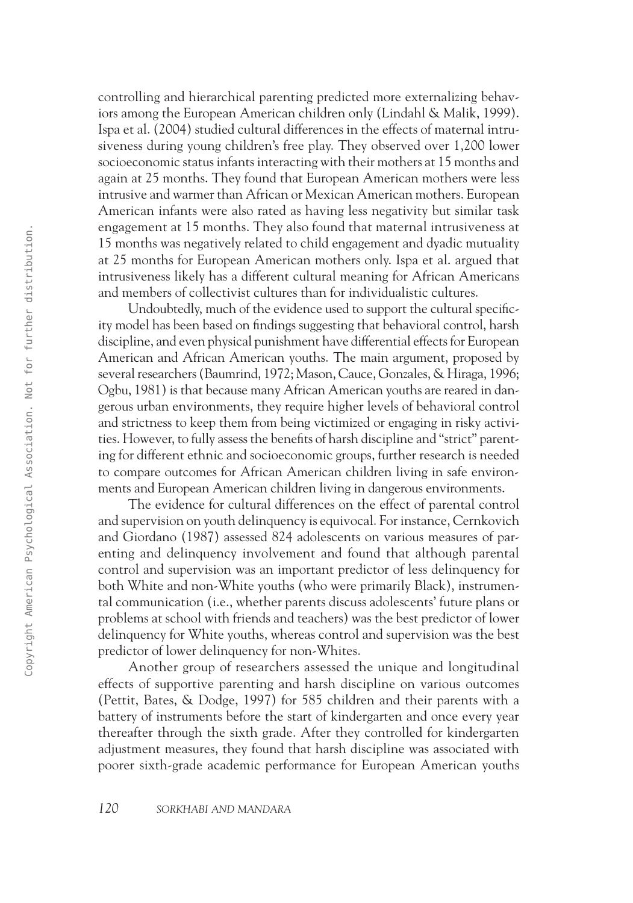controlling and hierarchical parenting predicted more externalizing behaviors among the European American children only (Lindahl & Malik, 1999). Ispa et al. (2004) studied cultural differences in the effects of maternal intrusiveness during young children's free play. They observed over 1,200 lower socioeconomic status infants interacting with their mothers at 15 months and again at 25 months. They found that European American mothers were less intrusive and warmer than African or Mexican American mothers. European American infants were also rated as having less negativity but similar task engagement at 15 months. They also found that maternal intrusiveness at 15 months was negatively related to child engagement and dyadic mutuality at 25 months for European American mothers only. Ispa et al. argued that intrusiveness likely has a different cultural meaning for African Americans and members of collectivist cultures than for individualistic cultures.

Undoubtedly, much of the evidence used to support the cultural specificity model has been based on findings suggesting that behavioral control, harsh discipline, and even physical punishment have differential effects for European American and African American youths. The main argument, proposed by several researchers (Baumrind, 1972; Mason, Cauce, Gonzales, & Hiraga, 1996; Ogbu, 1981) is that because many African American youths are reared in dangerous urban environments, they require higher levels of behavioral control and strictness to keep them from being victimized or engaging in risky activities. However, to fully assess the benefits of harsh discipline and "strict" parenting for different ethnic and socioeconomic groups, further research is needed to compare outcomes for African American children living in safe environments and European American children living in dangerous environments. 1303<br>
13 menths was recentrely related to child engagement and dytale mentality<br>
at 2.5 menths or known a American mother only lege et al. argued that<br>
in a 2.5 mental of the subset american motivation. American american<br>

The evidence for cultural differences on the effect of parental control and supervision on youth delinquency is equivocal. For instance, Cernkovich and Giordano (1987) assessed 824 adolescents on various measures of parenting and delinquency involvement and found that although parental control and supervision was an important predictor of less delinquency for both White and non-White youths (who were primarily Black), instrumental communication (i.e., whether parents discuss adolescents' future plans or problems at school with friends and teachers) was the best predictor of lower delinquency for White youths, whereas control and supervision was the best predictor of lower delinquency for non-Whites.

Another group of researchers assessed the unique and longitudinal effects of supportive parenting and harsh discipline on various outcomes (Pettit, Bates, & Dodge, 1997) for 585 children and their parents with a battery of instruments before the start of kindergarten and once every year thereafter through the sixth grade. After they controlled for kindergarten adjustment measures, they found that harsh discipline was associated with poorer sixth-grade academic performance for European American youths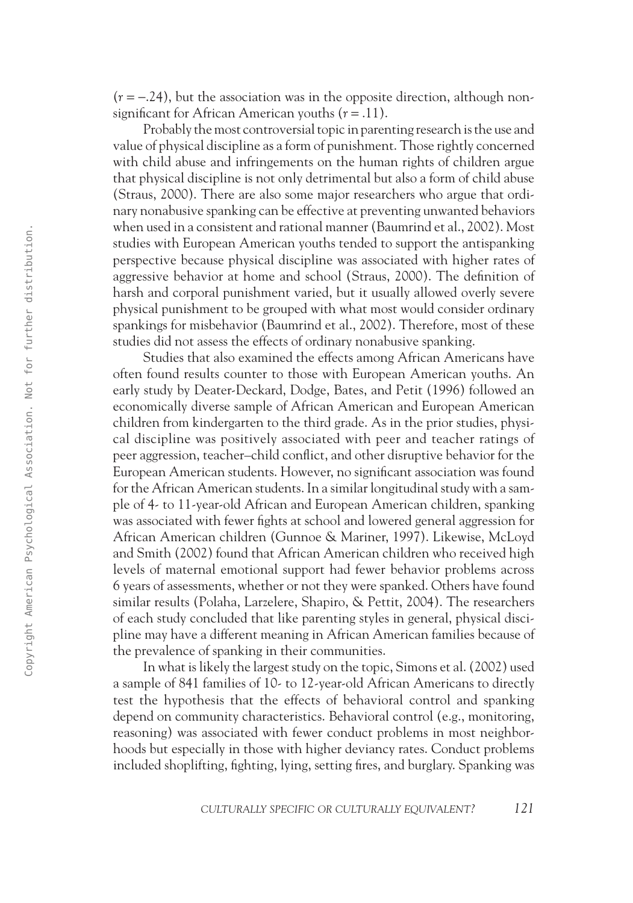$(r = -.24)$ , but the association was in the opposite direction, although nonsignificant for African American youths (*r* = .11).

Probably the most controversial topic in parenting research is the use and value of physical discipline as a form of punishment. Those rightly concerned with child abuse and infringements on the human rights of children argue that physical discipline is not only detrimental but also a form of child abuse (Straus, 2000). There are also some major researchers who argue that ordinary nonabusive spanking can be effective at preventing unwanted behaviors when used in a consistent and rational manner (Baumrind et al., 2002). Most studies with European American youths tended to support the antispanking perspective because physical discipline was associated with higher rates of aggressive behavior at home and school (Straus, 2000). The definition of harsh and corporal punishment varied, but it usually allowed overly severe physical punishment to be grouped with what most would consider ordinary spankings for misbehavior (Baumrind et al., 2002). Therefore, most of these studies did not assess the effects of ordinary nonabusive spanking.

Studies that also examined the effects among African Americans have often found results counter to those with European American youths. An early study by Deater-Deckard, Dodge, Bates, and Petit (1996) followed an economically diverse sample of African American and European American children from kindergarten to the third grade. As in the prior studies, physical discipline was positively associated with peer and teacher ratings of peer aggression, teacher–child conflict, and other disruptive behavior for the European American students. However, no significant association was found for the African American students. In a similar longitudinal study with a sample of 4- to 11-year-old African and European American children, spanking was associated with fewer fights at school and lowered general aggression for African American children (Gunnoe & Mariner, 1997). Likewise, McLoyd and Smith (2002) found that African American children who received high levels of maternal emotional support had fewer behavior problems across 6 years of assessments, whether or not they were spanked. Others have found similar results (Polaha, Larzelere, Shapiro, & Pettit, 2004). The researchers of each study concluded that like parenting styles in general, physical discipline may have a different meaning in African American families because of the prevalence of spanking in their communities. 1303<br>
27 Maximus and are considered in the animalis considered in the animalis consideration. The<br>supersymptom consideration in the animalis consideration of the system<br>procedure considered behavior in the main sets of t

In what is likely the largest study on the topic, Simons et al. (2002) used a sample of 841 families of 10- to 12-year-old African Americans to directly test the hypothesis that the effects of behavioral control and spanking depend on community characteristics. Behavioral control (e.g., monitoring, reasoning) was associated with fewer conduct problems in most neighborhoods but especially in those with higher deviancy rates. Conduct problems included shoplifting, fighting, lying, setting fires, and burglary. Spanking was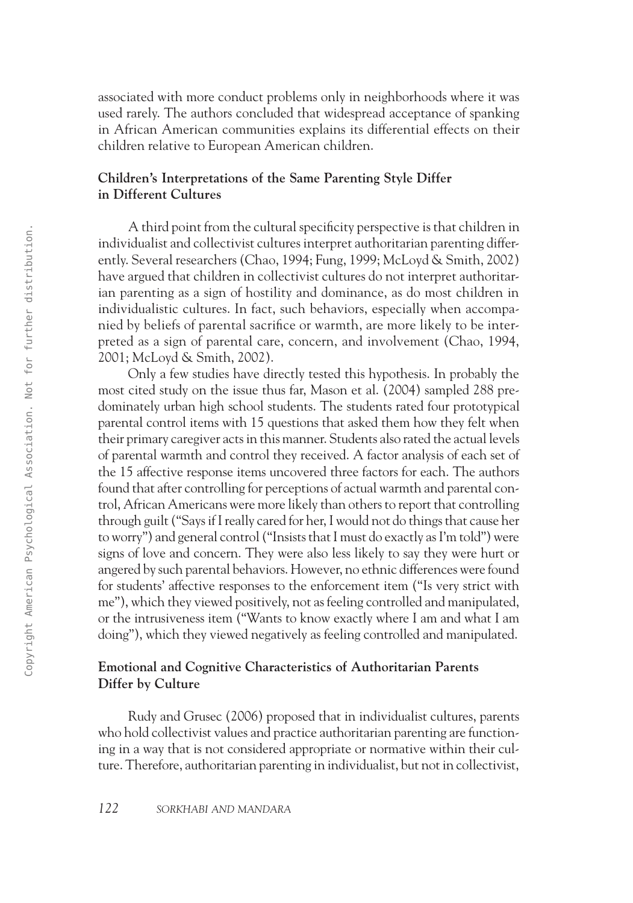associated with more conduct problems only in neighborhoods where it was used rarely. The authors concluded that widespread acceptance of spanking in African American communities explains its differential effects on their children relative to European American children.

## **Children's Interpretations of the Same Parenting Style Differ in Different Cultures**

A third point from the cultural specificity perspective is that children in individualist and collectivist cultures interpret authoritarian parenting differently. Several researchers (Chao, 1994; Fung, 1999; McLoyd & Smith, 2002) have argued that children in collectivist cultures do not interpret authoritarian parenting as a sign of hostility and dominance, as do most children in individualistic cultures. In fact, such behaviors, especially when accompanied by beliefs of parental sacrifice or warmth, are more likely to be interpreted as a sign of parental care, concern, and involvement (Chao, 1994, 2001; McLoyd & Smith, 2002).

Only a few studies have directly tested this hypothesis. In probably the most cited study on the issue thus far, Mason et al. (2004) sampled 288 predominately urban high school students. The students rated four prototypical parental control items with 15 questions that asked them how they felt when their primary caregiver acts in this manner. Students also rated the actual levels of parental warmth and control they received. A factor analysis of each set of the 15 affective response items uncovered three factors for each. The authors found that after controlling for perceptions of actual warmth and parental control, African Americans were more likely than others to report that controlling through guilt ("Says if I really cared for her, I would not do things that cause her to worry") and general control ("Insists that I must do exactly as I'm told") were signs of love and concern. They were also less likely to say they were hurt or angered by such parental behaviors. However, no ethnic differences were found for students' affective responses to the enforcement item ("Is very strict with me"), which they viewed positively, not as feeling controlled and manipulated, or the intrusiveness item ("Wants to know exactly where I am and what I am doing"), which they viewed negatively as feeling controlled and manipulated. 23 - The mass place to the controlling free process is the controlling that the controlling the present performance of Chose USB. 1994; Natural ANDC association and controlling the model as a sign of chosen with the model

# **Emotional and Cognitive Characteristics of Authoritarian Parents Differ by Culture**

Rudy and Grusec (2006) proposed that in individualist cultures, parents who hold collectivist values and practice authoritarian parenting are functioning in a way that is not considered appropriate or normative within their culture. Therefore, authoritarian parenting in individualist, but not in collectivist,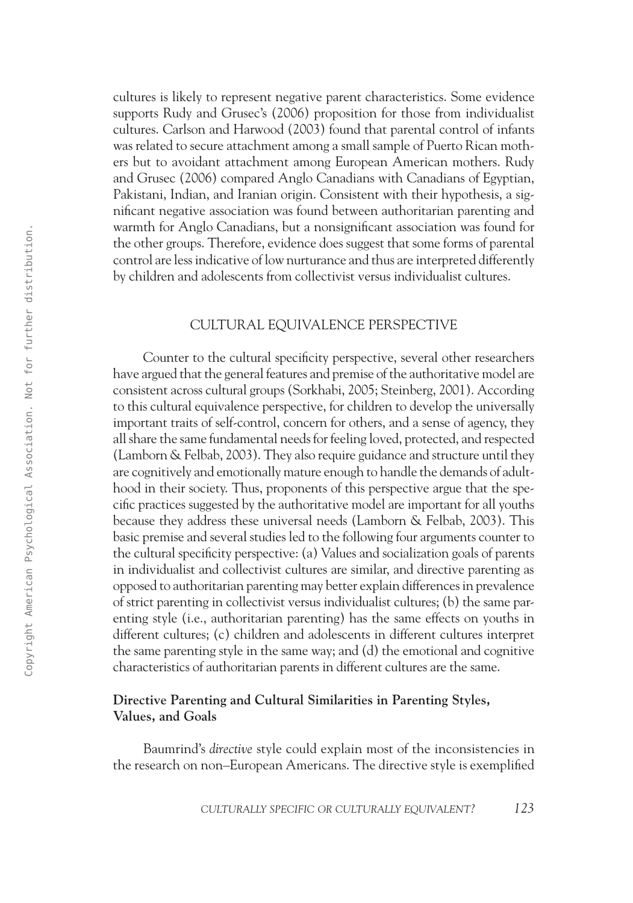cultures is likely to represent negative parent characteristics. Some evidence supports Rudy and Grusec's (2006) proposition for those from individualist cultures. Carlson and Harwood (2003) found that parental control of infants was related to secure attachment among a small sample of Puerto Rican mothers but to avoidant attachment among European American mothers. Rudy and Grusec (2006) compared Anglo Canadians with Canadians of Egyptian, Pakistani, Indian, and Iranian origin. Consistent with their hypothesis, a significant negative association was found between authoritarian parenting and warmth for Anglo Canadians, but a nonsignificant association was found for the other groups. Therefore, evidence does suggest that some forms of parental control are less indicative of low nurturance and thus are interpreted differently by children and adolescents from collectivist versus individualist cultures.

### Cultural Equivalence Perspective

Counter to the cultural specificity perspective, several other researchers have argued that the general features and premise of the authoritative model are consistent across cultural groups (Sorkhabi, 2005; Steinberg, 2001). According to this cultural equivalence perspective, for children to develop the universally important traits of self-control, concern for others, and a sense of agency, they all share the same fundamental needs for feeling loved, protected, and respected (Lamborn & Felbab, 2003). They also require guidance and structure until they are cognitively and emotionally mature enough to handle the demands of adulthood in their society. Thus, proponents of this perspective argue that the specific practices suggested by the authoritative model are important for all youths because they address these universal needs (Lamborn & Felbab, 2003). This basic premise and several studies led to the following four arguments counter to the cultural specificity perspective: (a) Values and socialization goals of parents in individualist and collectivist cultures are similar, and directive parenting as opposed to authoritarian parenting may better explain differences in prevalence of strict parenting in collectivist versus individualist cultures; (b) the same parenting style (i.e., authoritarian parenting) has the same effects on youths in different cultures; (c) children and adolescents in different cultures interpret the same parenting style in the same way; and (d) the emotional and cognitive characteristics of authoritarian parents in different cultures are the same. 1333<br>
on the charge of the statistics of solution and associated we storage in the statistical contract of the statistical Contract of the statistical Association by children and askedescens from collectivity even in the

#### **Directive Parenting and Cultural Similarities in Parenting Styles, Values, and Goals**

Baumrind's *directive* style could explain most of the inconsistencies in the research on non–European Americans. The directive style is exemplified

*culturally specific or culturally equivalent? 123*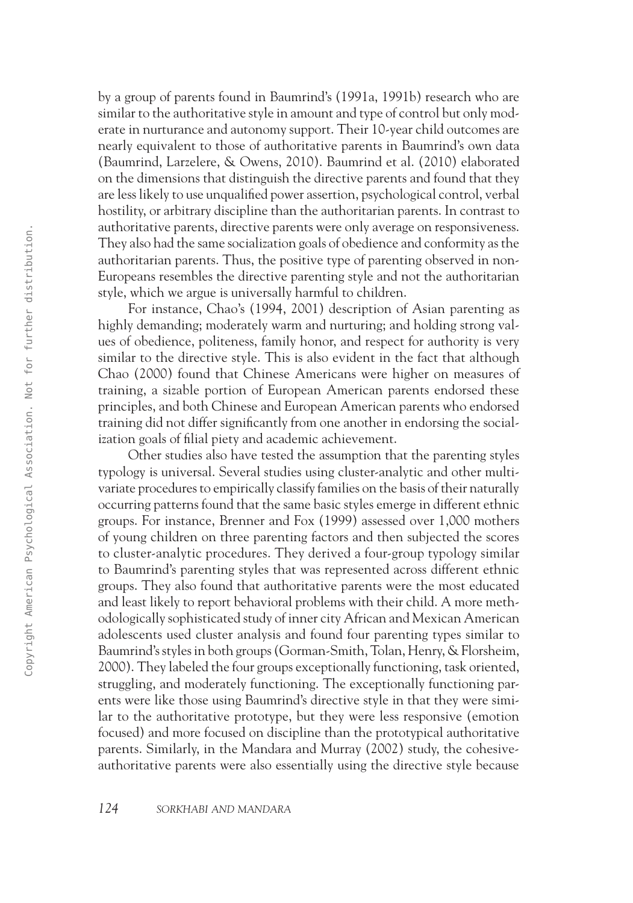by a group of parents found in Baumrind's (1991a, 1991b) research who are similar to the authoritative style in amount and type of control but only moderate in nurturance and autonomy support. Their 10-year child outcomes are nearly equivalent to those of authoritative parents in Baumrind's own data (Baumrind, Larzelere, & Owens, 2010). Baumrind et al. (2010) elaborated on the dimensions that distinguish the directive parents and found that they are less likely to use unqualified power assertion, psychological control, verbal hostility, or arbitrary discipline than the authoritarian parents. In contrast to authoritative parents, directive parents were only average on responsiveness. They also had the same socialization goals of obedience and conformity as the authoritarian parents. Thus, the positive type of parenting observed in non-Europeans resembles the directive parenting style and not the authoritarian style, which we argue is universally harmful to children.

For instance, Chao's (1994, 2001) description of Asian parenting as highly demanding; moderately warm and nurturing; and holding strong values of obedience, politeness, family honor, and respect for authority is very similar to the directive style. This is also evident in the fact that although Chao (2000) found that Chinese Americans were higher on measures of training, a sizable portion of European American parents endorsed these principles, and both Chinese and European American parents who endorsed training did not differ significantly from one another in endorsing the socialization goals of filial piety and academic achievement.

Other studies also have tested the assumption that the parenting styles typology is universal. Several studies using cluster-analytic and other multivariate procedures to empirically classify families on the basis of their naturally occurring patterns found that the same basic styles emerge in different ethnic groups. For instance, Brenner and Fox (1999) assessed over 1,000 mothers of young children on three parenting factors and then subjected the scores to cluster-analytic procedures. They derived a four-group typology similar to Baumrind's parenting styles that was represented across different ethnic groups. They also found that authoritative parents were the most educated and least likely to report behavioral problems with their child. A more methodologically sophisticated study of inner city African and Mexican American adolescents used cluster analysis and found four parenting types similar to Baumrind's styles in both groups (Gorman-Smith, Tolan, Henry, & Florsheim, 2000). They labeled the four groups exceptionally functioning, task oriented, struggling, and moderately functioning. The exceptionally functioning parents were like those using Baumrind's directive style in that they were similar to the authoritative prototype, but they were less responsive (emotion focused) and more focused on discipline than the prototypical authoritative parents. Similarly, in the Mandara and Murray (2002) study, the cohesiveauthoritative parents were also essentially using the directive style because 26 matrix the state of the state of the state of the state of the state of the state of the state of the state procedure of the protocol system and the state procedure of the state procedure of the state of the state in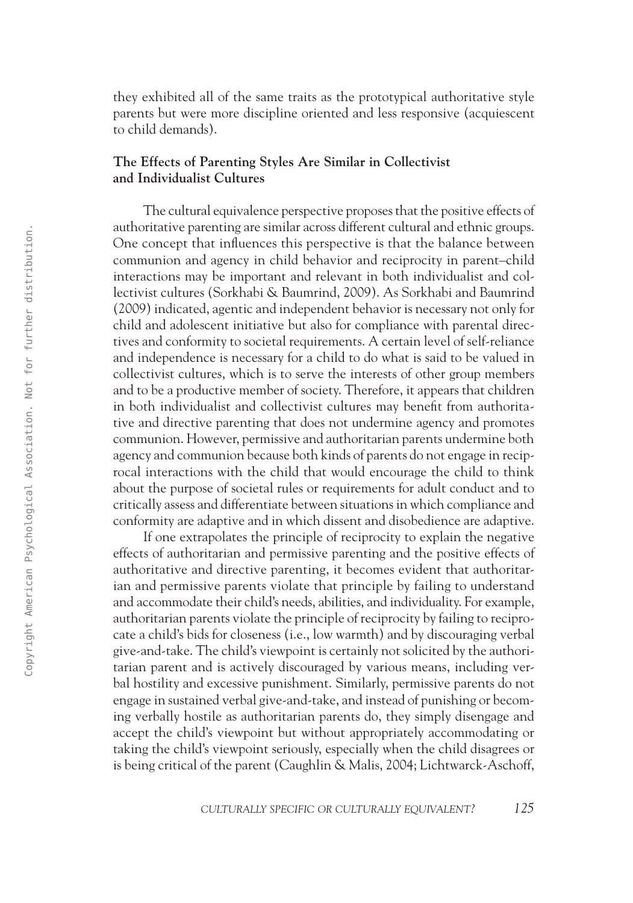they exhibited all of the same traits as the prototypical authoritative style parents but were more discipline oriented and less responsive (acquiescent to child demands).

## **The Effects of Parenting Styles Are Similar in Collectivist and Individualist Cultures**

The cultural equivalence perspective proposes that the positive effects of authoritative parenting are similar across different cultural and ethnic groups. One concept that influences this perspective is that the balance between communion and agency in child behavior and reciprocity in parent–child interactions may be important and relevant in both individualist and collectivist cultures (Sorkhabi & Baumrind, 2009). As Sorkhabi and Baumrind (2009) indicated, agentic and independent behavior is necessary not only for child and adolescent initiative but also for compliance with parental directives and conformity to societal requirements. A certain level of self-reliance and independence is necessary for a child to do what is said to be valued in collectivist cultures, which is to serve the interests of other group members and to be a productive member of society. Therefore, it appears that children in both individualist and collectivist cultures may benefit from authoritative and directive parenting that does not undermine agency and promotes communion. However, permissive and authoritarian parents undermine both agency and communion because both kinds of parents do not engage in reciprocal interactions with the child that would encourage the child to think about the purpose of societal rules or requirements for adult conduct and to critically assess and differentiate between situations in which compliance and conformity are adaptive and in which dissent and disobedience are adaptive. 25<br>
Simulation and specification and summation and summation and summation and summation and summation and summation and summation and summation and summation and summation and summation. And the summation of the summatio

If one extrapolates the principle of reciprocity to explain the negative effects of authoritarian and permissive parenting and the positive effects of authoritative and directive parenting, it becomes evident that authoritarian and permissive parents violate that principle by failing to understand and accommodate their child's needs, abilities, and individuality. For example, authoritarian parents violate the principle of reciprocity by failing to reciprocate a child's bids for closeness (i.e., low warmth) and by discouraging verbal give-and-take. The child's viewpoint is certainly not solicited by the authoritarian parent and is actively discouraged by various means, including verbal hostility and excessive punishment. Similarly, permissive parents do not engage in sustained verbal give-and-take, and instead of punishing or becoming verbally hostile as authoritarian parents do, they simply disengage and accept the child's viewpoint but without appropriately accommodating or taking the child's viewpoint seriously, especially when the child disagrees or is being critical of the parent (Caughlin & Malis, 2004; Lichtwarck-Aschoff,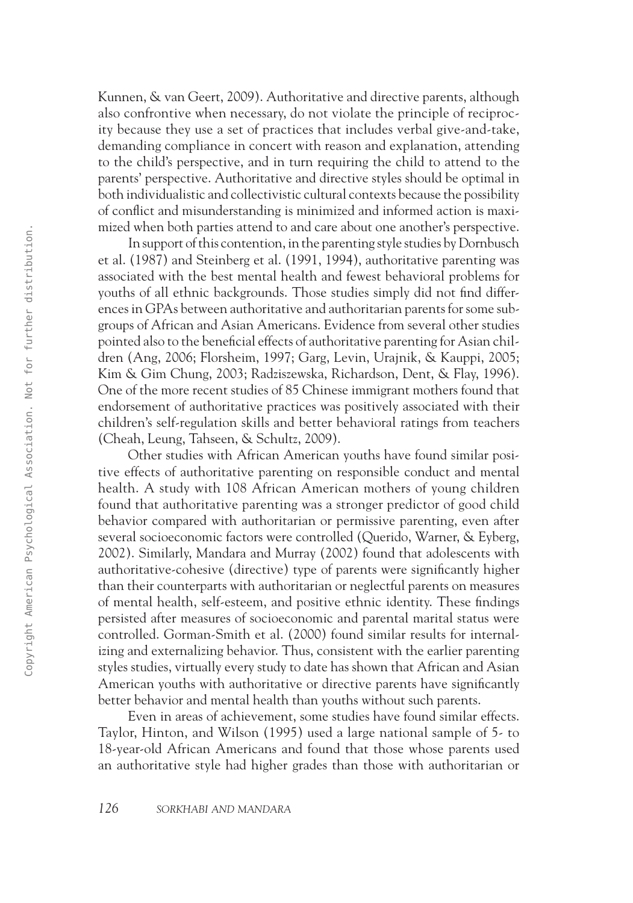Kunnen, & van Geert, 2009). Authoritative and directive parents, although also confrontive when necessary, do not violate the principle of reciprocity because they use a set of practices that includes verbal give-and-take, demanding compliance in concert with reason and explanation, attending to the child's perspective, and in turn requiring the child to attend to the parents' perspective. Authoritative and directive styles should be optimal in both individualistic and collectivistic cultural contexts because the possibility of conflict and misunderstanding is minimized and informed action is maximized when both parties attend to and care about one another's perspective.

In support of this contention, in the parenting style studies by Dornbusch et al. (1987) and Steinberg et al. (1991, 1994), authoritative parenting was associated with the best mental health and fewest behavioral problems for youths of all ethnic backgrounds. Those studies simply did not find differences in GPAs between authoritative and authoritarian parents for some subgroups of African and Asian Americans. Evidence from several other studies pointed also to the beneficial effects of authoritative parenting for Asian children (Ang, 2006; Florsheim, 1997; Garg, Levin, Urajnik, & Kauppi, 2005; Kim & Gim Chung, 2003; Radziszewska, Richardson, Dent, & Flay, 1996). One of the more recent studies of 85 Chinese immigrant mothers found that endorsement of authoritative practices was positively associated with their children's self-regulation skills and better behavioral ratings from teachers (Cheah, Leung, Tahseen, & Schultz, 2009).

Other studies with African American youths have found similar positive effects of authoritative parenting on responsible conduct and mental health. A study with 108 African American mothers of young children found that authoritative parenting was a stronger predictor of good child behavior compared with authoritarian or permissive parenting, even after several socioeconomic factors were controlled (Querido, Warner, & Eyberg, 2002). Similarly, Mandara and Murray (2002) found that adolescents with authoritative-cohesive (directive) type of parents were significantly higher than their counterparts with authoritarian or neglectful parents on measures of mental health, self-esteem, and positive ethnic identity. These findings persisted after measures of socioeconomic and parental marital status were controlled. Gorman-Smith et al. (2000) found similar results for internalizing and externalizing behavior. Thus, consistent with the earlier parenting styles studies, virtually every study to date has shown that African and Asian American youths with authoritative or directive parents have significantly better behavior and mental health than youths without such parents. 1303 - The method of the method is the method with the method with the state of the method is a model of the method with the bet method with the text method with the method with the state of the method of the method of th

Even in areas of achievement, some studies have found similar effects. Taylor, Hinton, and Wilson (1995) used a large national sample of 5- to 18-year-old African Americans and found that those whose parents used an authoritative style had higher grades than those with authoritarian or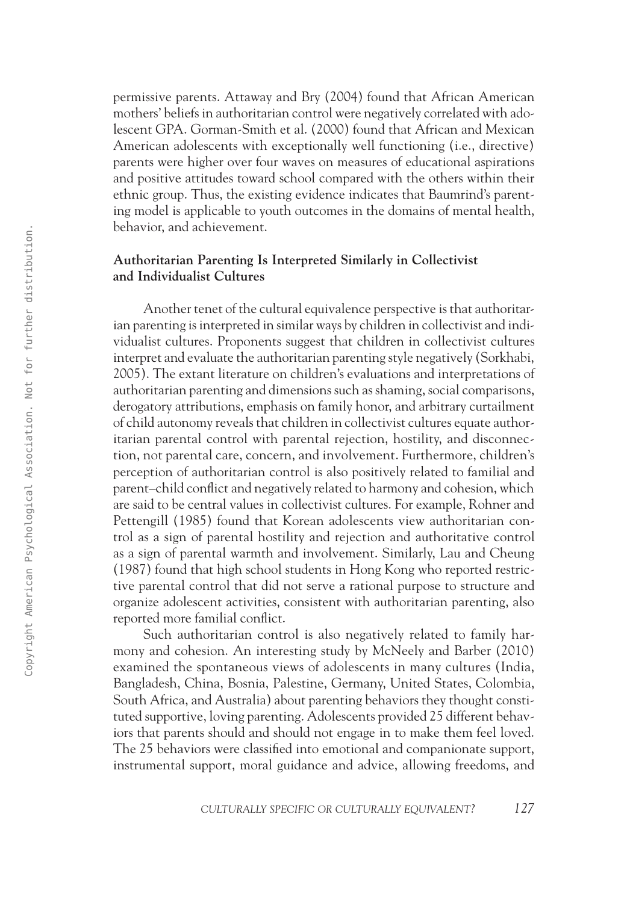permissive parents. Attaway and Bry (2004) found that African American mothers' beliefs in authoritarian control were negatively correlated with adolescent GPA. Gorman-Smith et al. (2000) found that African and Mexican American adolescents with exceptionally well functioning (i.e., directive) parents were higher over four waves on measures of educational aspirations and positive attitudes toward school compared with the others within their ethnic group. Thus, the existing evidence indicates that Baumrind's parenting model is applicable to youth outcomes in the domains of mental health, behavior, and achievement.

## **Authoritarian Parenting Is Interpreted Similarly in Collectivist and Individualist Cultures**

Another tenet of the cultural equivalence perspective is that authoritarian parenting is interpreted in similar ways by children in collectivist and individualist cultures. Proponents suggest that children in collectivist cultures interpret and evaluate the authoritarian parenting style negatively (Sorkhabi, 2005). The extant literature on children's evaluations and interpretations of authoritarian parenting and dimensions such as shaming, social comparisons, derogatory attributions, emphasis on family honor, and arbitrary curtailment of child autonomy reveals that children in collectivist cultures equate authoritarian parental control with parental rejection, hostility, and disconnection, not parental care, concern, and involvement. Furthermore, children's perception of authoritarian control is also positively related to familial and parent–child conflict and negatively related to harmony and cohesion, which are said to be central values in collectivist cultures. For example, Rohner and Pettengill (1985) found that Korean adolescents view authoritarian control as a sign of parental hostility and rejection and authoritative control as a sign of parental warmth and involvement. Similarly, Lau and Cheung (1987) found that high school students in Hong Kong who reported restrictive parental control that did not serve a rational purpose to structure and organize adolescent activities, consistent with authoritarian parenting, also reported more familial conflict. Example the state of the collective state of the collective and halo interaction and the state of the collected proposition in the collective american of the content of the collective american Supervisor of the collective

Such authoritarian control is also negatively related to family harmony and cohesion. An interesting study by McNeely and Barber (2010) examined the spontaneous views of adolescents in many cultures (India, Bangladesh, China, Bosnia, Palestine, Germany, United States, Colombia, South Africa, and Australia) about parenting behaviors they thought constituted supportive, loving parenting. Adolescents provided 25 different behaviors that parents should and should not engage in to make them feel loved. The 25 behaviors were classified into emotional and companionate support, instrumental support, moral guidance and advice, allowing freedoms, and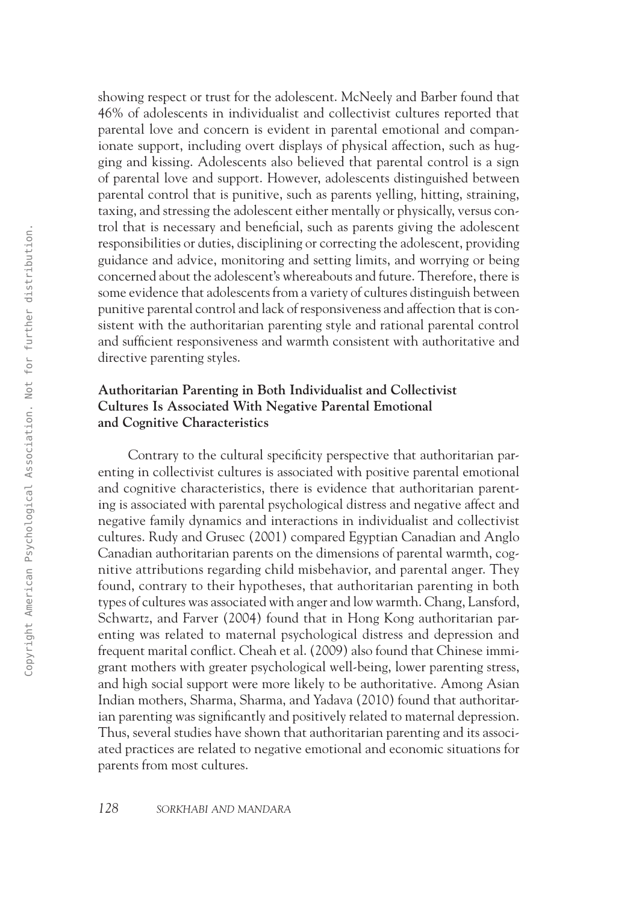showing respect or trust for the adolescent. McNeely and Barber found that 46% of adolescents in individualist and collectivist cultures reported that parental love and concern is evident in parental emotional and companionate support, including overt displays of physical affection, such as hugging and kissing. Adolescents also believed that parental control is a sign of parental love and support. However, adolescents distinguished between parental control that is punitive, such as parents yelling, hitting, straining, taxing, and stressing the adolescent either mentally or physically, versus control that is necessary and beneficial, such as parents giving the adolescent responsibilities or duties, disciplining or correcting the adolescent, providing guidance and advice, monitoring and setting limits, and worrying or being concerned about the adolescent's whereabouts and future. Therefore, there is some evidence that adolescents from a variety of cultures distinguish between punitive parental control and lack of responsiveness and affection that is consistent with the authoritarian parenting style and rational parental control and sufficient responsiveness and warmth consistent with authoritative and directive parenting styles.

# **Authoritarian Parenting in Both Individualist and Collectivist Cultures Is Associated With Negative Parental Emotional and Cognitive Characteristics**

Contrary to the cultural specificity perspective that authoritarian parenting in collectivist cultures is associated with positive parental emotional and cognitive characteristics, there is evidence that authoritarian parenting is associated with parental psychological distress and negative affect and negative family dynamics and interactions in individualist and collectivist cultures. Rudy and Grusec (2001) compared Egyptian Canadian and Anglo Canadian authoritarian parents on the dimensions of parental warmth, cognitive attributions regarding child misbehavior, and parental anger. They found, contrary to their hypotheses, that authoritarian parenting in both types of cultures was associated with anger and low warmth. Chang, Lansford, Schwartz, and Farver (2004) found that in Hong Kong authoritarian parenting was related to maternal psychological distress and depression and frequent marital conflict. Cheah et al. (2009) also found that Chinese immigrant mothers with greater psychological well-being, lower parenting stress, and high social support were more likely to be authoritative. Among Asian Indian mothers, Sharma, Sharma, and Yadava (2010) found that authoritarian parenting was significantly and positively related to maternal depression. Thus, several studies have shown that authoritarian parenting and its associated practices are related to negative emotional and economic situations for parents from most cultures. 1303 Cangelian declies that is the control of the matter and where the particular correcting the subjective and is the matter of the matter american properties the control of the matter and the matter of the matter and th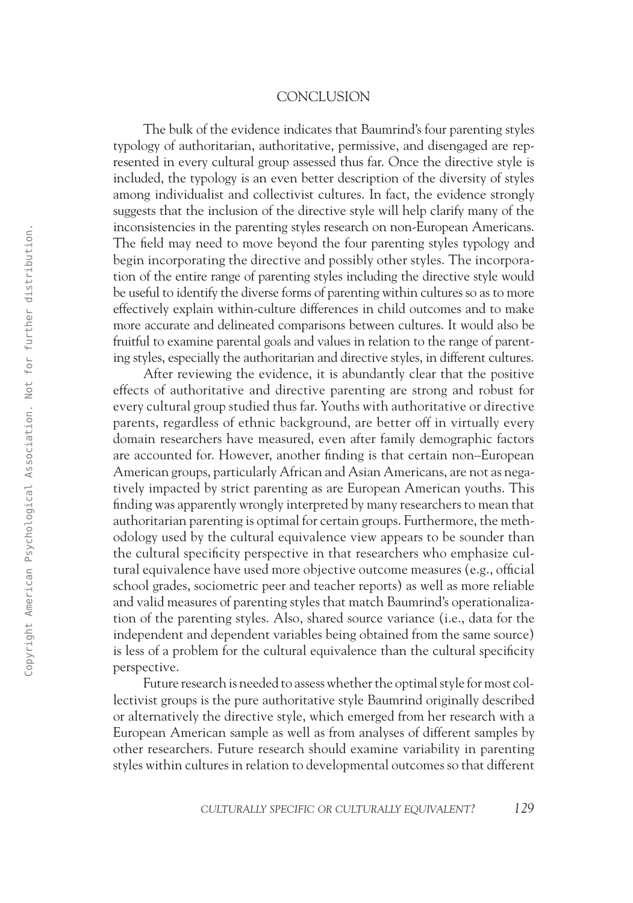## **CONCLUSION**

The bulk of the evidence indicates that Baumrind's four parenting styles typology of authoritarian, authoritative, permissive, and disengaged are represented in every cultural group assessed thus far. Once the directive style is included, the typology is an even better description of the diversity of styles among individualist and collectivist cultures. In fact, the evidence strongly suggests that the inclusion of the directive style will help clarify many of the inconsistencies in the parenting styles research on non-European Americans. The field may need to move beyond the four parenting styles typology and begin incorporating the directive and possibly other styles. The incorporation of the entire range of parenting styles including the directive style would be useful to identify the diverse forms of parenting within cultures so as to more effectively explain within-culture differences in child outcomes and to make more accurate and delineated comparisons between cultures. It would also be fruitful to examine parental goals and values in relation to the range of parenting styles, especially the authoritarian and directive styles, in different cultures.

After reviewing the evidence, it is abundantly clear that the positive effects of authoritative and directive parenting are strong and robust for every cultural group studied thus far. Youths with authoritative or directive parents, regardless of ethnic background, are better off in virtually every domain researchers have measured, even after family demographic factors are accounted for. However, another finding is that certain non–European American groups, particularly African and Asian Americans, are not as negatively impacted by strict parenting as are European American youths. This finding was apparently wrongly interpreted by many researchers to mean that authoritarian parenting is optimal for certain groups. Furthermore, the methodology used by the cultural equivalence view appears to be sounder than the cultural specificity perspective in that researchers who emphasize cultural equivalence have used more objective outcome measures (e.g., official school grades, sociometric peer and teacher reports) as well as more reliable and valid measures of parenting styles that match Baumrind's operationalization of the parenting styles. Also, shared source variance (i.e., data for the independent and dependent variables being obtained from the same source) is less of a problem for the cultural equivalence than the cultural specificity perspective. 1323 - The behavior of the participa statistical association of the particle american and particle american probably order syles. The motivary of the distribution and possibly order syles. The motivary of the distribution

Future research is needed to assess whether the optimal style for most collectivist groups is the pure authoritative style Baumrind originally described or alternatively the directive style, which emerged from her research with a European American sample as well as from analyses of different samples by other researchers. Future research should examine variability in parenting styles within cultures in relation to developmental outcomes so that different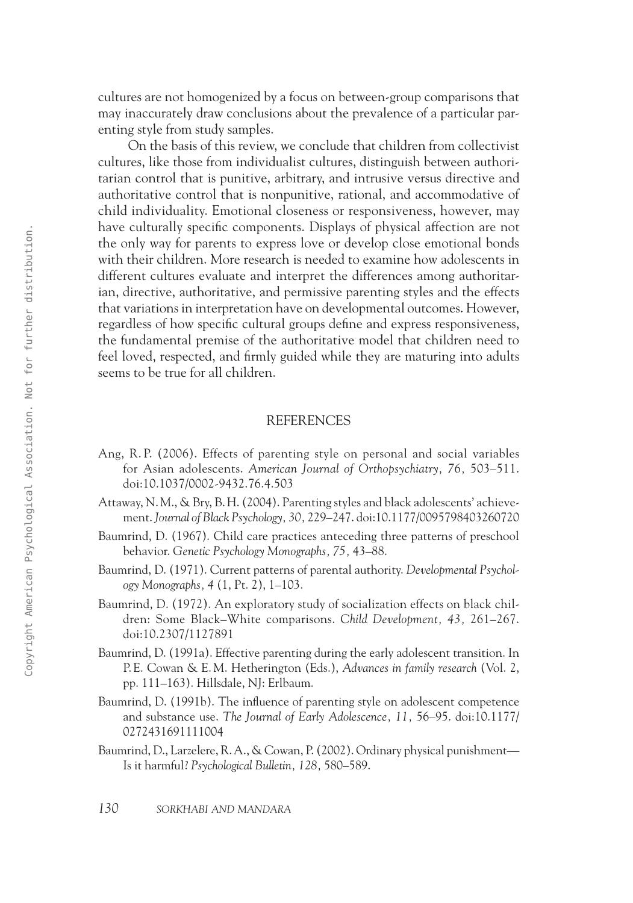cultures are not homogenized by a focus on between-group comparisons that may inaccurately draw conclusions about the prevalence of a particular parenting style from study samples.

On the basis of this review, we conclude that children from collectivist cultures, like those from individualist cultures, distinguish between authoritarian control that is punitive, arbitrary, and intrusive versus directive and authoritative control that is nonpunitive, rational, and accommodative of child individuality. Emotional closeness or responsiveness, however, may have culturally specific components. Displays of physical affection are not the only way for parents to express love or develop close emotional bonds with their children. More research is needed to examine how adolescents in different cultures evaluate and interpret the differences among authoritarian, directive, authoritative, and permissive parenting styles and the effects that variations in interpretation have on developmental outcomes. However, regardless of how specific cultural groups define and express responsiveness, the fundamental premise of the authoritative model that children need to feel loved, respected, and firmly guided while they are maturing into adults seems to be true for all children. 13032-0622-0622-0622-0622-0622-0622-072 11.12 12:25 AM Control and the method in the control of the method in the method in the control of the method in the control of the method in the control of the method in the contro

#### **REFERENCES**

- Ang, R. P. (2006). Effects of parenting style on personal and social variables for Asian adolescents. *American Journal of Orthopsychiatry, 76,* 503–511. doi:10.1037/0002-9432.76.4.503
- Attaway, N. M., & Bry, B. H. (2004). Parenting styles and black adolescents' achievement. *Journal of Black Psychology, 30,* 229–247. doi:10.1177/0095798403260720
- Baumrind, D. (1967). Child care practices anteceding three patterns of preschool behavior. *Genetic Psychology Monographs, 75,* 43–88.
- Baumrind, D. (1971). Current patterns of parental authority. *Developmental Psychology Monographs, 4* (1, Pt. 2), 1–103.
- Baumrind, D. (1972). An exploratory study of socialization effects on black children: Some Black–White comparisons. *Child Development, 43,* 261–267. doi:10.2307/1127891
- Baumrind, D. (1991a). Effective parenting during the early adolescent transition. In P. E. Cowan & E. M. Hetherington (Eds.), *Advances in family research* (Vol. 2, pp. 111–163). Hillsdale, NJ: Erlbaum.
- Baumrind, D. (1991b). The influence of parenting style on adolescent competence and substance use. *The Journal of Early Adolescence, 11,* 56–95. doi:10.1177/ 0272431691111004
- Baumrind, D., Larzelere, R.A., & Cowan, P. (2002). Ordinary physical punishment— Is it harmful? *Psychological Bulletin, 128,* 580–589.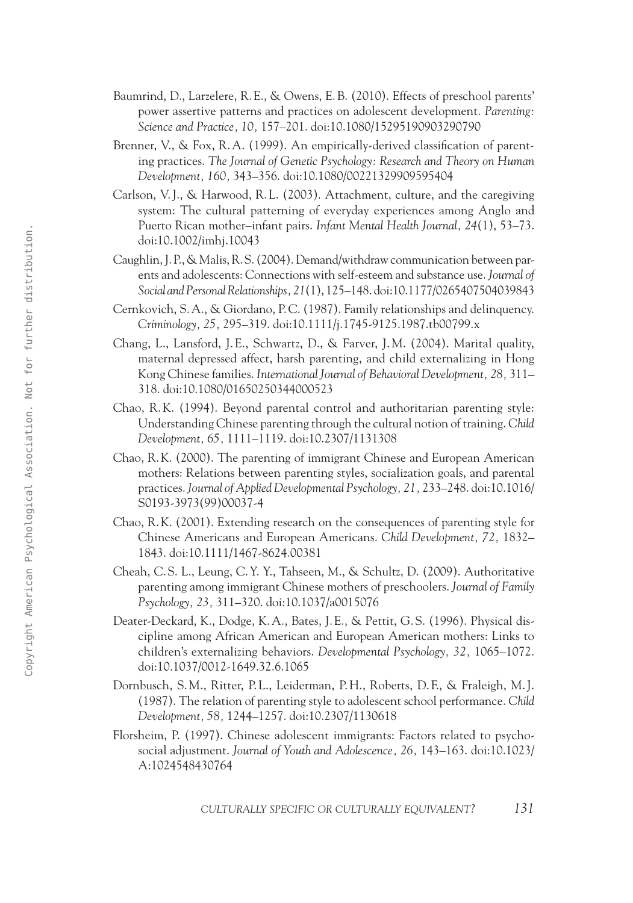- Baumrind, D., Larzelere, R. E., & Owens, E.B. (2010). Effects of preschool parents' power assertive patterns and practices on adolescent development. *Parenting: Science and Practice, 10,* 157–201. doi:10.1080/15295190903290790
- Brenner, V., & Fox, R.A. (1999). An empirically-derived classification of parenting practices. *The Journal of Genetic Psychology: Research and Theory on Human Development, 160,* 343–356. doi:10.1080/00221329909595404
- Carlson, V.J., & Harwood, R. L. (2003). Attachment, culture, and the caregiving system: The cultural patterning of everyday experiences among Anglo and Puerto Rican mother–infant pairs. *Infant Mental Health Journal, 24*(1), 53–73. doi:10.1002/imhj.10043
- Caughlin, J.P., & Malis, R. S. (2004). Demand/withdraw communication between parents and adolescents: Connections with self-esteem and substance use. *Journal of Social and Personal Relationships, 21*(1), 125–148. doi:10.1177/0265407504039843
- Cernkovich, S.A., & Giordano, P. C. (1987). Family relationships and delinquency. *Criminology, 25,* 295–319. doi:10.1111/j.1745-9125.1987.tb00799.x
- Chang, L., Lansford, J. E., Schwartz, D., & Farver, J. M. (2004). Marital quality, maternal depressed affect, harsh parenting, and child externalizing in Hong Kong Chinese families. *International Journal of Behavioral Development, 28,* 311– 318. doi:10.1080/01650250344000523
- Chao, R. K. (1994). Beyond parental control and authoritarian parenting style: Understanding Chinese parenting through the cultural notion of training. *Child Development, 65,* 1111–1119. doi:10.2307/1131308
- Chao, R. K. (2000). The parenting of immigrant Chinese and European American mothers: Relations between parenting styles, socialization goals, and parental practices. *Journal of Applied Developmental Psychology, 21,* 233–248. doi:10.1016/ S0193-3973(99)00037-4
- Chao, R. K. (2001). Extending research on the consequences of parenting style for Chinese Americans and European Americans. *Child Development, 72,* 1832– 1843. doi:10.1111/1467-8624.00381
- Cheah, C. S. L., Leung, C. Y. Y., Tahseen, M., & Schultz, D. (2009). Authoritative parenting among immigrant Chinese mothers of preschoolers. *Journal of Family Psychology, 23,* 311–320. doi:10.1037/a0015076
- Deater-Deckard, K., Dodge, K.A., Bates, J. E., & Pettit, G. S. (1996). Physical discipline among African American and European American mothers: Links to children's externalizing behaviors. *Developmental Psychology, 32,* 1065–1072. doi:10.1037/0012-1649.32.6.1065 1303 - 1303 - 1303 - 1403 - 1403 - 1403 - 1403 - 1403 - 1403 - 1403 - 1403 - 1403 - 1403 - 1403 - 1403 - 1403 - 1403 - 1403 - 1403 - 1403 - 1403 - 1403 - 1403 - 1403 - 1403 - 1403 - 1403 - 1403 - 1403 - 1403 - 1403 - 1403
	- Dornbusch, S. M., Ritter, P. L., Leiderman, P. H., Roberts, D. F., & Fraleigh, M.J. (1987). The relation of parenting style to adolescent school performance. *Child Development, 58,* 1244–1257. doi:10.2307/1130618
	- Florsheim, P. (1997). Chinese adolescent immigrants: Factors related to psychosocial adjustment. *Journal of Youth and Adolescence, 26,* 143–163. doi:10.1023/ A:1024548430764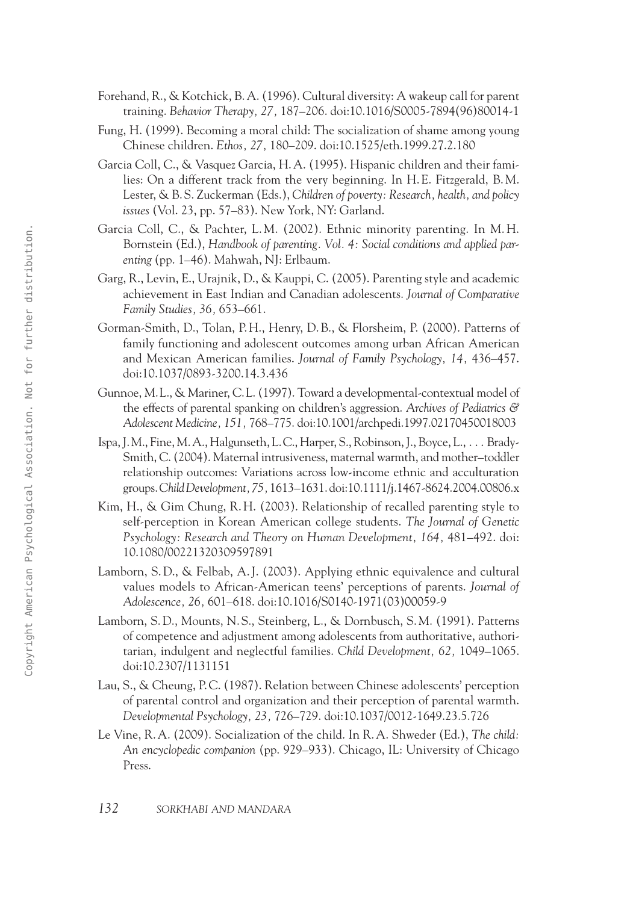- Forehand, R., & Kotchick, B.A. (1996). Cultural diversity: A wakeup call for parent training. *Behavior Therapy, 27,* 187–206. doi:10.1016/S0005-7894(96)80014-1
- Fung, H. (1999). Becoming a moral child: The socialization of shame among young Chinese children. *Ethos, 27,* 180–209. doi:10.1525/eth.1999.27.2.180
- Garcia Coll, C., & Vasquez Garcia, H.A. (1995). Hispanic children and their families: On a different track from the very beginning. In H. E. Fitzgerald, B. M. Lester, & B. S. Zuckerman (Eds.), *Children of poverty: Research, health, and policy issues* (Vol. 23, pp. 57–83). New York, NY: Garland.
- Garcia Coll, C., & Pachter, L. M. (2002). Ethnic minority parenting. In M. H. Bornstein (Ed.), *Handbook of parenting. Vol. 4: Social conditions and applied parenting* (pp. 1–46). Mahwah, NJ: Erlbaum.
- Garg, R., Levin, E., Urajnik, D., & Kauppi, C. (2005). Parenting style and academic achievement in East Indian and Canadian adolescents. *Journal of Comparative Family Studies, 36,* 653–661.
- Gorman-Smith, D., Tolan, P. H., Henry, D.B., & Florsheim, P. (2000). Patterns of family functioning and adolescent outcomes among urban African American and Mexican American families. *Journal of Family Psychology, 14,* 436–457. doi:10.1037/0893-3200.14.3.436
- Gunnoe, M. L., & Mariner, C. L. (1997). Toward a developmental-contextual model of the effects of parental spanking on children's aggression. *Archives of Pediatrics & Adolescent Medicine, 151,* 768–775. doi:10.1001/archpedi.1997.02170450018003
- Ispa, J. M., Fine, M.A., Halgunseth, L. C., Harper, S., Robinson, J., Boyce, L., . . . Brady-Smith, C. (2004). Maternal intrusiveness, maternal warmth, and mother–toddler relationship outcomes: Variations across low-income ethnic and acculturation groups. *Child Development,75,* 1613–1631. doi:10.1111/j.1467-8624.2004.00806.x 2313 CHO (1323-1333) CHO CHO (1323-1333) CHO CHO (1423-1333) CHO CHO (1423-1333) CHO CHO (1423-1335) CHO (1423-1355) CHO (1423-1355) CHO (1423-1355) CHO (1423-1355) CHO (1423-1355) CHO (1423-1355) CHO (1423-1355) CHO (14
	- Kim, H., & Gim Chung, R. H. (2003). Relationship of recalled parenting style to self-perception in Korean American college students. *The Journal of Genetic Psychology: Research and Theory on Human Development, 164,* 481–492. doi: 10.1080/00221320309597891
	- Lamborn, S. D., & Felbab, A.J. (2003). Applying ethnic equivalence and cultural values models to African-American teens' perceptions of parents. *Journal of Adolescence, 26,* 601–618. doi:10.1016/S0140-1971(03)00059-9
	- Lamborn, S. D., Mounts, N. S., Steinberg, L., & Dornbusch, S. M. (1991). Patterns of competence and adjustment among adolescents from authoritative, authoritarian, indulgent and neglectful families. *Child Development, 62,* 1049–1065. doi:10.2307/1131151
	- Lau, S., & Cheung, P. C. (1987). Relation between Chinese adolescents' perception of parental control and organization and their perception of parental warmth. *Developmental Psychology, 23,* 726–729. doi:10.1037/0012-1649.23.5.726
	- Le Vine, R.A. (2009). Socialization of the child. In R.A. Shweder (Ed.), *The child: An encyclopedic companion* (pp. 929–933). Chicago, IL: University of Chicago Press.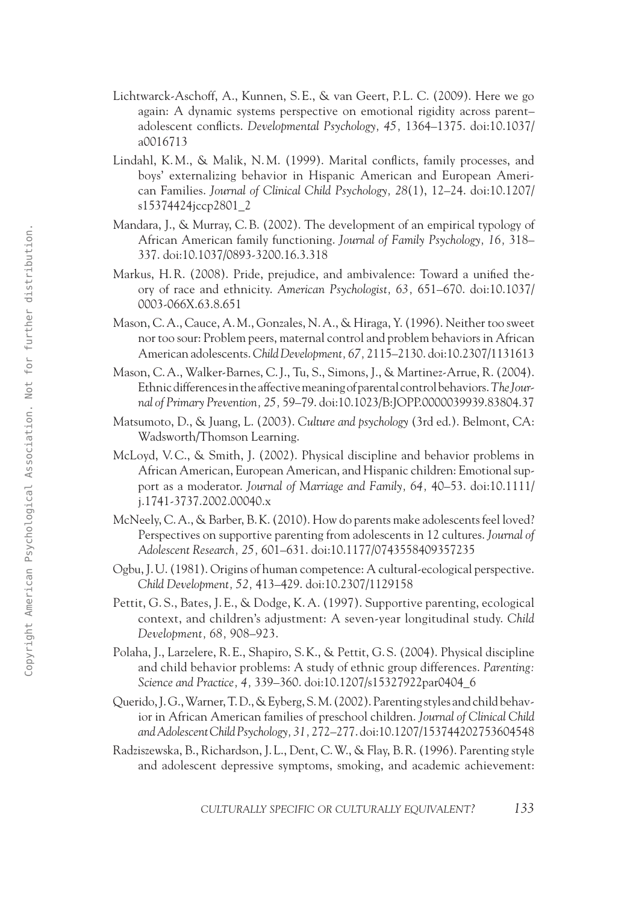- Lichtwarck-Aschoff, A., Kunnen, S. E., & van Geert, P. L. C. (2009). Here we go again: A dynamic systems perspective on emotional rigidity across parent– adolescent conflicts. *Developmental Psychology, 45,* 1364–1375. doi:10.1037/ a0016713
- Lindahl, K. M., & Malik, N. M. (1999). Marital conflicts, family processes, and boys' externalizing behavior in Hispanic American and European American Families. *Journal of Clinical Child Psychology, 28*(1), 12–24. doi:10.1207/ s15374424jccp2801\_2
- Mandara, J., & Murray, C.B. (2002). The development of an empirical typology of African American family functioning. *Journal of Family Psychology, 16,* 318– 337. doi:10.1037/0893-3200.16.3.318
- Markus, H.R. (2008). Pride, prejudice, and ambivalence: Toward a unified theory of race and ethnicity. *American Psychologist, 63,* 651–670. doi:10.1037/ 0003-066X.63.8.651
- Mason, C.A., Cauce, A. M., Gonzales, N.A., & Hiraga, Y. (1996). Neither too sweet nor too sour: Problem peers, maternal control and problem behaviors in African American adolescents. *Child Development, 67,* 2115–2130. doi:10.2307/1131613
- Mason, C.A., Walker-Barnes, C.J., Tu, S., Simons, J., & Martinez-Arrue, R. (2004). Ethnic differences in the affective meaning of parental control behaviors. *The Journal of Primary Prevention, 25,* 59–79. doi:10.1023/B:JOPP.0000039939.83804.37
- Matsumoto, D., & Juang, L. (2003). *Culture and psychology* (3rd ed.). Belmont, CA: Wadsworth/Thomson Learning.
- McLoyd, V. C., & Smith, J. (2002). Physical discipline and behavior problems in African American, European American, and Hispanic children: Emotional support as a moderator. *Journal of Marriage and Family, 64,* 40–53. doi:10.1111/ j.1741-3737.2002.00040.x 1603<br>
26 AM Copyright American formula provide (Formuly Psychology, 16, 318-313), 26:4131037778993-2200.16.33 g<br>
26 Makin 11 Rk, (2008) Philos, provide (1638), 26 (511-670, dei 10.037/<br>
26 AM Copyright American Psycholog
	- McNeely, C.A., & Barber, B. K. (2010). How do parents make adolescents feel loved? Perspectives on supportive parenting from adolescents in 12 cultures. *Journal of Adolescent Research, 25,* 601–631. doi:10.1177/0743558409357235
	- Ogbu, J. U. (1981). Origins of human competence: A cultural-ecological perspective. *Child Development, 52,* 413–429. doi:10.2307/1129158
	- Pettit, G. S., Bates, J. E., & Dodge, K. A. (1997). Supportive parenting, ecological context, and children's adjustment: A seven-year longitudinal study. *Child Development, 68,* 908–923.
	- Polaha, J., Larzelere, R. E., Shapiro, S. K., & Pettit, G. S. (2004). Physical discipline and child behavior problems: A study of ethnic group differences. *Parenting: Science and Practice, 4,* 339–360. doi:10.1207/s15327922par0404\_6
	- Querido, J. G., Warner, T. D., & Eyberg, S. M. (2002). Parenting styles and child behavior in African American families of preschool children. *Journal of Clinical Child and Adolescent Child Psychology, 31,* 272–277. doi:10.1207/153744202753604548
	- Radziszewska, B., Richardson, J. L., Dent, C.W., & Flay, B. R. (1996). Parenting style and adolescent depressive symptoms, smoking, and academic achievement: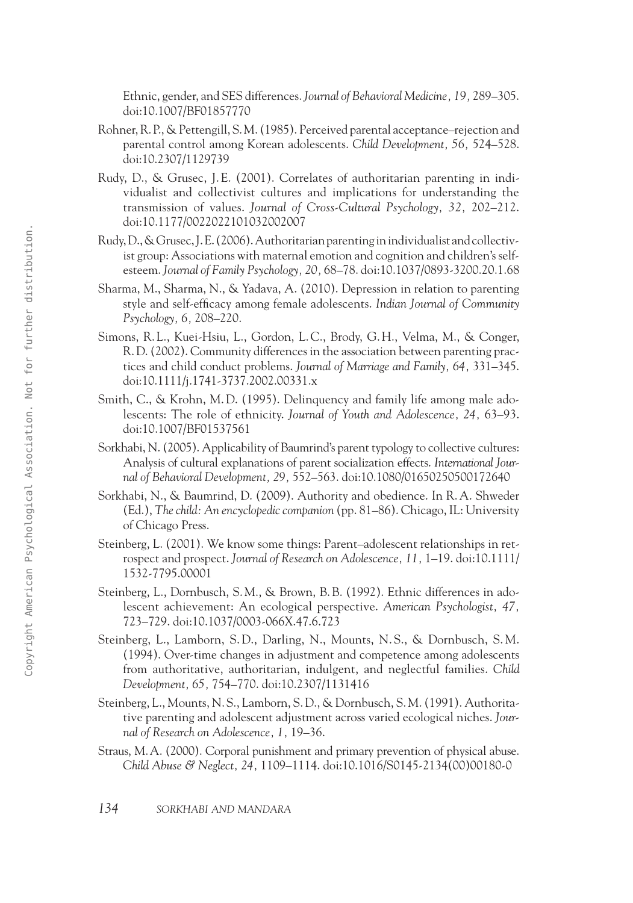Ethnic, gender, and SES differences. *Journal of Behavioral Medicine, 19,* 289–305. doi:10.1007/BF01857770

- Rohner, R.P., & Pettengill, S. M. (1985). Perceived parental acceptance–rejection and parental control among Korean adolescents. *Child Development, 56,* 524–528. doi:10.2307/1129739
- Rudy, D., & Grusec, J. E. (2001). Correlates of authoritarian parenting in individualist and collectivist cultures and implications for understanding the transmission of values. *Journal of Cross-Cultural Psychology, 32,* 202–212. doi:10.1177/0022022101032002007
- Rudy, D., & Grusec, J. E. (2006). Authoritarian parenting in individualist and collectivist group: Associations with maternal emotion and cognition and children's selfesteem. *Journal of Family Psychology, 20,* 68–78. doi:10.1037/0893-3200.20.1.68
- Sharma, M., Sharma, N., & Yadava, A. (2010). Depression in relation to parenting style and self-efficacy among female adolescents. *Indian Journal of Community Psychology, 6,* 208–220.
- Simons, R. L., Kuei-Hsiu, L., Gordon, L. C., Brody, G. H., Velma, M., & Conger, R. D. (2002). Community differences in the association between parenting practices and child conduct problems. *Journal of Marriage and Family, 64,* 331–345. doi:10.1111/j.1741-3737.2002.00331.x
- Smith, C., & Krohn, M. D. (1995). Delinquency and family life among male adolescents: The role of ethnicity. *Journal of Youth and Adolescence, 24,* 63–93. doi:10.1007/BF01537561
- Sorkhabi, N. (2005). Applicability of Baumrind's parent typology to collective cultures: Analysis of cultural explanations of parent socialization effects. *International Journal of Behavioral Development, 29,* 552–563. doi:10.1080/01650250500172640
- Sorkhabi, N., & Baumrind, D. (2009). Authority and obedience. In R.A. Shweder (Ed.), *The child: An encyclopedic companion* (pp. 81–86). Chicago, IL: University of Chicago Press.
- Steinberg, L. (2001). We know some things: Parent–adolescent relationships in retrospect and prospect. *Journal of Research on Adolescence, 11,* 1–19. doi:10.1111/ 1532-7795.00001
- Steinberg, L., Dornbusch, S. M., & Brown, B.B. (1992). Ethnic differences in adolescent achievement: An ecological perspective. *American Psychologist, 47,* 723–729. doi:10.1037/0003-066X.47.6.723
- Steinberg, L., Lamborn, S. D., Darling, N., Mounts, N. S., & Dornbusch, S. M. (1994). Over-time changes in adjustment and competence among adolescents from authoritative, authoritarian, indulgent, and neglectful families. *Child Development, 65,* 754–770. doi:10.2307/1131416 Explicit, 86 CHOS (2003) Anterior the method in the system of the system of the system of the system of the system of the system of the system of the system of the system of the system of the system of the system of the s
	- Steinberg, L., Mounts, N. S., Lamborn, S. D., & Dornbusch, S. M. (1991). Authoritative parenting and adolescent adjustment across varied ecological niches. *Journal of Research on Adolescence, 1,* 19–36.
	- Straus, M.A. (2000). Corporal punishment and primary prevention of physical abuse. *Child Abuse & Neglect, 24,* 1109–1114. doi:10.1016/S0145-2134(00)00180-0